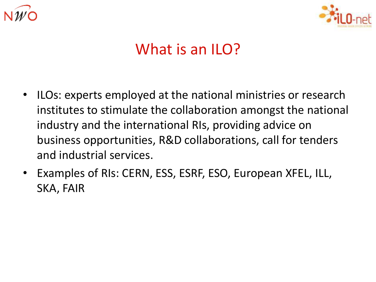



# What is an ILO?

- ILOs: experts employed at the national ministries or research institutes to stimulate the collaboration amongst the national industry and the international RIs, providing advice on business opportunities, R&D collaborations, call for tenders and industrial services.
- Examples of RIs: CERN, ESS, ESRF, ESO, European XFEL, ILL, SKA, FAIR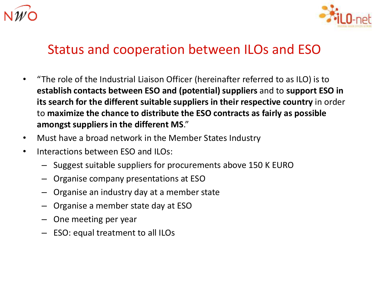



## Status and cooperation between ILOs and ESO

- "The role of the Industrial Liaison Officer (hereinafter referred to as ILO) is to **establish contacts between ESO and (potential) suppliers** and to **support ESO in its search for the different suitable suppliers in their respective country** in order to **maximize the chance to distribute the ESO contracts as fairly as possible amongst suppliers in the different MS**."
- Must have a broad network in the Member States Industry
- Interactions between ESO and ILOs:
	- Suggest suitable suppliers for procurements above 150 K EURO
	- Organise company presentations at ESO
	- Organise an industry day at a member state
	- Organise a member state day at ESO
	- One meeting per year
	- ESO: equal treatment to all ILOs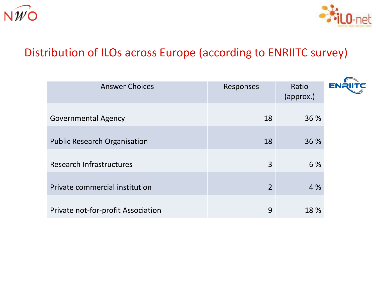



### Distribution of ILOs across Europe (according to ENRIITC survey)

| <b>Answer Choices</b>               | Responses      | Ratio<br>(approx.) | EN |
|-------------------------------------|----------------|--------------------|----|
| <b>Governmental Agency</b>          | 18             | 36 %               |    |
| <b>Public Research Organisation</b> | 18             | 36 %               |    |
| <b>Research Infrastructures</b>     | 3              | 6 %                |    |
| Private commercial institution      | $\overline{2}$ | 4 %                |    |
| Private not-for-profit Association  | 9              | 18 %               |    |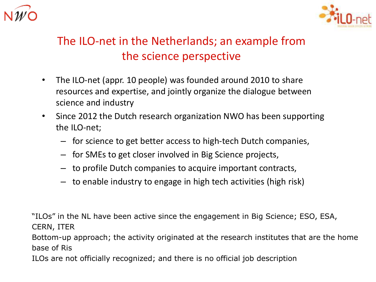



## The ILO-net in the Netherlands; an example from the science perspective

- The ILO-net (appr. 10 people) was founded around 2010 to share resources and expertise, and jointly organize the dialogue between science and industry
- Since 2012 the Dutch research organization NWO has been supporting the ILO-net;
	- for science to get better access to high-tech Dutch companies,
	- for SMEs to get closer involved in Big Science projects,
	- to profile Dutch companies to acquire important contracts,
	- to enable industry to engage in high tech activities (high risk)

"ILOs" in the NL have been active since the engagement in Big Science; ESO, ESA, CERN, ITER

Bottom-up approach; the activity originated at the research institutes that are the home base of Ris

ILOs are not officially recognized; and there is no official job description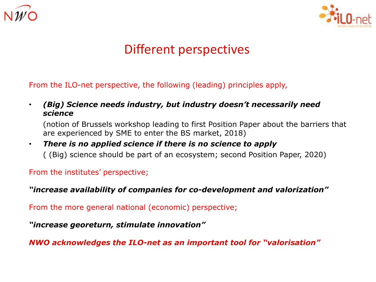



## Different perspectives

From the ILO-net perspective, the following (leading) principles apply,

• *(Big) Science needs industry, but industry doesn't necessarily need science*

(notion of Brussels workshop leading to first Position Paper about the barriers that are experienced by SME to enter the BS market, 2018)

#### • *There is no applied science if there is no science to apply* ( (Big) science should be part of an ecosystem; second Position Paper, 2020)

From the institutes' perspective;

*"increase availability of companies for co-development and valorization"*

From the more general national (economic) perspective;

*"increase georeturn, stimulate innovation"*

*NWO acknowledges the ILO-net as an important tool for "valorisation"*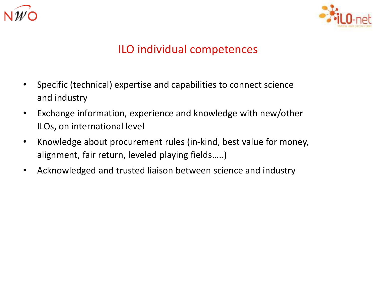



#### ILO individual competences

- Specific (technical) expertise and capabilities to connect science and industry
- Exchange information, experience and knowledge with new/other ILOs, on international level
- Knowledge about procurement rules (in-kind, best value for money, alignment, fair return, leveled playing fields…..)
- Acknowledged and trusted liaison between science and industry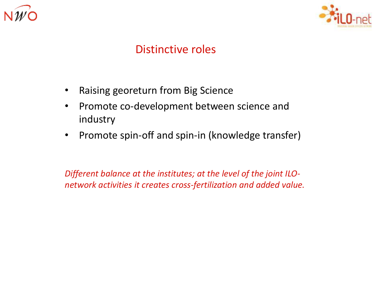



#### Distinctive roles

- Raising georeturn from Big Science
- Promote co-development between science and industry
- Promote spin-off and spin-in (knowledge transfer)

*Different balance at the institutes; at the level of the joint ILOnetwork activities it creates cross-fertilization and added value.*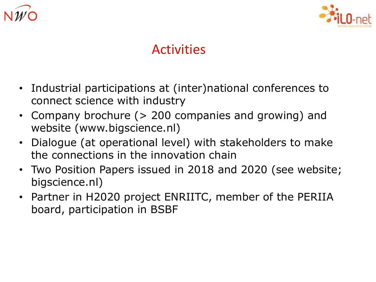



# Activities

- Industrial participations at (inter)national conferences to connect science with industry
- Company brochure (> 200 companies and growing) and website (www.bigscience.nl)
- Dialogue (at operational level) with stakeholders to make the connections in the innovation chain
- Two Position Papers issued in 2018 and 2020 (see website; bigscience.nl)
- Partner in H2020 project ENRIITC, member of the PERIIA board, participation in BSBF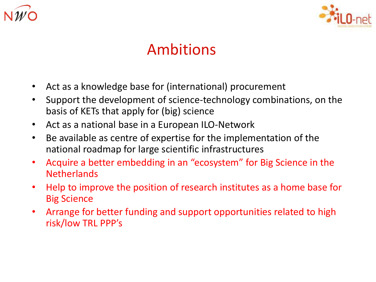



# Ambitions

- Act as a knowledge base for (international) procurement
- Support the development of science-technology combinations, on the basis of KETs that apply for (big) science
- Act as a national base in a European ILO-Network
- Be available as centre of expertise for the implementation of the national roadmap for large scientific infrastructures
- Acquire a better embedding in an "ecosystem" for Big Science in the **Netherlands**
- Help to improve the position of research institutes as a home base for Big Science
- Arrange for better funding and support opportunities related to high risk/low TRL PPP's